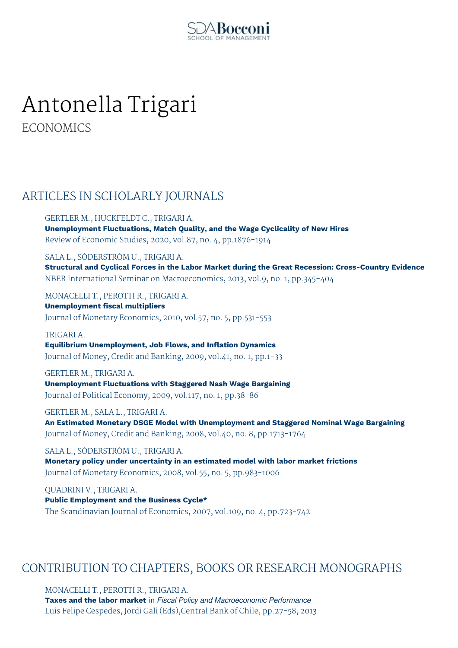

# Antonella Trigari

**ECONOMICS** 

## ARTICLES IN SCHOLARLY JOURNALS

GERTLER M., HUCKFELDT C., TRIGARI A.

**Unemployment Fluctuations, Match Quality, and the Wage Cyclicality of New Hires** Review of Economic Studies, 2020, vol.87, no. 4, pp.1876-1914

SALA L., SÖDERSTRÖM U., TRIGARI A.

**Structural and Cyclical Forces in the Labor Market during the Great Recession: Cross-Country Evidence** NBER International Seminar on Macroeconomics, 2013, vol.9, no. 1, pp.345-404

MONACELLI T., PEROTTI R., TRIGARI A.

**Unemployment fiscal multipliers** Journal of Monetary Economics, 2010, vol.57, no. 5, pp.531-553

#### TRIGARI A.

**Equilibrium Unemployment, Job Flows, and Inflation Dynamics** Journal of Money, Credit and Banking, 2009, vol.41, no. 1, pp.1-33

#### GERTLER M., TRIGARI A.

**Unemployment Fluctuations with Staggered Nash Wage Bargaining** Journal of Political Economy, 2009, vol.117, no. 1, pp.38-86

GERTLER M., SALA L., TRIGARI A.

**An Estimated Monetary DSGE Model with Unemployment and Staggered Nominal Wage Bargaining** Journal of Money, Credit and Banking, 2008, vol.40, no. 8, pp.1713-1764

SALA L., SÖDERSTRÖM U., TRIGARI A.

**Monetary policy under uncertainty in an estimated model with labor market frictions** Journal of Monetary Economics, 2008, vol.55, no. 5, pp.983-1006

QUADRINI V., TRIGARI A. **Public Employment and the Business Cycle\*** The Scandinavian Journal of Economics, 2007, vol.109, no. 4, pp.723-742

## CONTRIBUTION TO CHAPTERS, BOOKS OR RESEARCH MONOGRAPHS

MONACELLI T., PEROTTI R., TRIGARI A.

**Taxes and the labor market** in *Fiscal Policy and Macroeconomic Performance* Luis Felipe Cespedes, Jordi Gali (Eds),Central Bank of Chile, pp.27-58, 2013